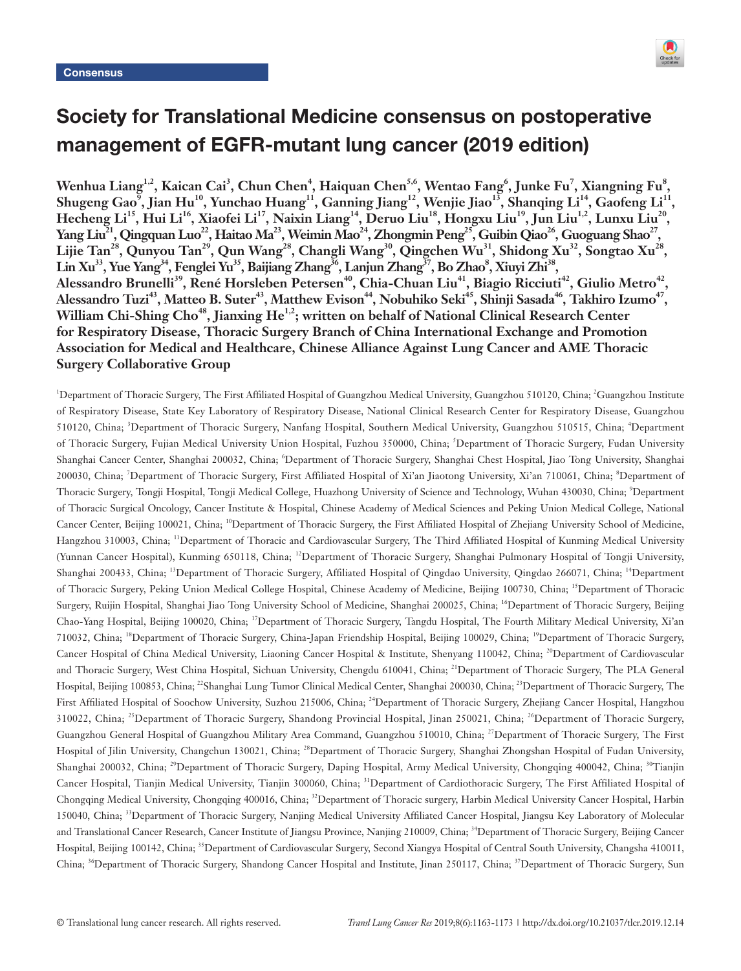

# Society for Translational Medicine consensus on postoperative management of EGFR-mutant lung cancer (2019 edition)

Wenhua Liang<sup>1,2</sup>, Kaican Cai<sup>3</sup>, Chun Chen<sup>4</sup>, Haiquan Chen<sup>5,6</sup>, Wentao Fang<sup>6</sup>, Junke Fu<sup>7</sup>, Xiangning Fu<sup>8</sup>, Shugeng Gao<sup>9</sup>, Jian Hu<sup>10</sup>, Yunchao Huang<sup>11</sup>, Ganning Jiang<sup>12</sup>, Wenjie Jiao<sup>13</sup>, Shanqing Li<sup>14</sup>, Gaofeng Li<sup>11</sup>, **Hecheng Li15, Hui Li16, Xiaofei Li17, Naixin Liang14, Deruo Liu18, Hongxu Liu19, Jun Liu1,2, Lunxu Liu20,**  Yang Liu<sup>21</sup>, Qingquan Luo<sup>22</sup>, Haitao Ma<sup>23</sup>, Weimin Mao<sup>24</sup>, Zhongmin Peng<sup>25</sup>, Guibin Qiao<sup>26</sup>, Guoguang Shao<sup>27</sup>, Lijie Tan<sup>28</sup>, Qunyou Tan<sup>29</sup>, Qun Wang<sup>28</sup>, Changli Wang<sup>30</sup>, Qingchen Wu<sup>31</sup>, Shidong Xu<sup>32</sup>, Songtao Xu<sup>28</sup>, Lin Xu<sup>33</sup>, Yue Yang<sup>34</sup>, Fenglei Yu<sup>35</sup>, Baijiang Zhang<sup>36</sup>, Lanjun Zhang<sup>37</sup>, Bo Zhao<sup>8</sup>, Xiuyi Zhi<sup>38</sup>, Alessandro Brunelli<sup>39</sup>, René Horsleben Petersen<sup>40</sup>, Chia-Chuan Liu<sup>41</sup>, Biagio Ricciuti<sup>42</sup>, Giulio Metro<sup>42</sup>, Alessandro Tuzi<sup>43</sup>, Matteo B. Suter<sup>43</sup>, Matthew Evison<sup>44</sup>, Nobuhiko Seki<sup>45</sup>, Shinji Sasada<sup>46</sup>, Takhiro Izumo<sup>47</sup>, William Chi-Shing Cho<sup>48</sup>, Jianxing He<sup>1,2</sup>; written on behalf of National Clinical Research Center **for Respiratory Disease, Thoracic Surgery Branch of China International Exchange and Promotion Association for Medical and Healthcare, Chinese Alliance Against Lung Cancer and AME Thoracic Surgery Collaborative Group**

<sup>1</sup>Department of Thoracic Surgery, The First Affiliated Hospital of Guangzhou Medical University, Guangzhou 510120, China; <sup>2</sup>Guangzhou Institute of Respiratory Disease, State Key Laboratory of Respiratory Disease, National Clinical Research Center for Respiratory Disease, Guangzhou 510120, China; <sup>3</sup>Department of Thoracic Surgery, Nanfang Hospital, Southern Medical University, Guangzhou 510515, China; <sup>4</sup>Department of Thoracic Surgery, Fujian Medical University Union Hospital, Fuzhou 350000, China; <sup>5</sup>Department of Thoracic Surgery, Fudan University Shanghai Cancer Center, Shanghai 200032, China; 'Department of Thoracic Surgery, Shanghai Chest Hospital, Jiao Tong University, Shanghai 200030, China; <sup>7</sup>Department of Thoracic Surgery, First Affiliated Hospital of Xi'an Jiaotong University, Xi'an 710061, China; <sup>8</sup>Department of Thoracic Surgery, Tongji Hospital, Tongji Medical College, Huazhong University of Science and Technology, Wuhan 430030, China; <sup>9</sup>Department of Thoracic Surgical Oncology, Cancer Institute & Hospital, Chinese Academy of Medical Sciences and Peking Union Medical College, National Cancer Center, Beijing 100021, China; <sup>10</sup>Department of Thoracic Surgery, the First Affiliated Hospital of Zhejiang University School of Medicine, Hangzhou 310003, China; <sup>11</sup>Department of Thoracic and Cardiovascular Surgery, The Third Affiliated Hospital of Kunming Medical University (Yunnan Cancer Hospital), Kunming 650118, China; <sup>12</sup>Department of Thoracic Surgery, Shanghai Pulmonary Hospital of Tongji University, Shanghai 200433, China; <sup>13</sup>Department of Thoracic Surgery, Affiliated Hospital of Qingdao University, Qingdao 266071, China; 14Department of Thoracic Surgery, Peking Union Medical College Hospital, Chinese Academy of Medicine, Beijing 100730, China; <sup>15</sup>Department of Thoracic Surgery, Ruijin Hospital, Shanghai Jiao Tong University School of Medicine, Shanghai 200025, China; <sup>16</sup>Department of Thoracic Surgery, Beijing Chao-Yang Hospital, Beijing 100020, China; <sup>17</sup>Department of Thoracic Surgery, Tangdu Hospital, The Fourth Military Medical University, Xi'an 710032, China; <sup>18</sup>Department of Thoracic Surgery, China-Japan Friendship Hospital, Beijing 100029, China; 19Department of Thoracic Surgery, Cancer Hospital of China Medical University, Liaoning Cancer Hospital & Institute, Shenyang 110042, China; <sup>20</sup>Department of Cardiovascular and Thoracic Surgery, West China Hospital, Sichuan University, Chengdu 610041, China; <sup>21</sup>Department of Thoracic Surgery, The PLA General Hospital, Beijing 100853, China; <sup>22</sup>Shanghai Lung Tumor Clinical Medical Center, Shanghai 200030, China; <sup>23</sup>Department of Thoracic Surgery, The First Affiliated Hospital of Soochow University, Suzhou 215006, China; <sup>24</sup>Department of Thoracic Surgery, Zhejiang Cancer Hospital, Hangzhou 310022, China; <sup>25</sup>Department of Thoracic Surgery, Shandong Provincial Hospital, Jinan 250021, China; <sup>26</sup>Department of Thoracic Surgery, Guangzhou General Hospital of Guangzhou Military Area Command, Guangzhou 510010, China; <sup>27</sup>Department of Thoracic Surgery, The First Hospital of Jilin University, Changchun 130021, China; <sup>28</sup>Department of Thoracic Surgery, Shanghai Zhongshan Hospital of Fudan University, Shanghai 200032, China; <sup>29</sup>Department of Thoracic Surgery, Daping Hospital, Army Medical University, Chongqing 400042, China; <sup>30</sup>Tianjin Cancer Hospital, Tianjin Medical University, Tianjin 300060, China; <sup>31</sup>Department of Cardiothoracic Surgery, The First Affiliated Hospital of Chongqing Medical University, Chongqing 400016, China; <sup>32</sup>Department of Thoracic surgery, Harbin Medical University Cancer Hospital, Harbin 150040, China; <sup>33</sup>Department of Thoracic Surgery, Nanjing Medical University Affiliated Cancer Hospital, Jiangsu Key Laboratory of Molecular and Translational Cancer Research, Cancer Institute of Jiangsu Province, Nanjing 210009, China; <sup>34</sup>Department of Thoracic Surgery, Beijing Cancer Hospital, Beijing 100142, China; 35Department of Cardiovascular Surgery, Second Xiangya Hospital of Central South University, Changsha 410011, China; <sup>36</sup>Department of Thoracic Surgery, Shandong Cancer Hospital and Institute, Jinan 250117, China; <sup>37</sup>Department of Thoracic Surgery, Sun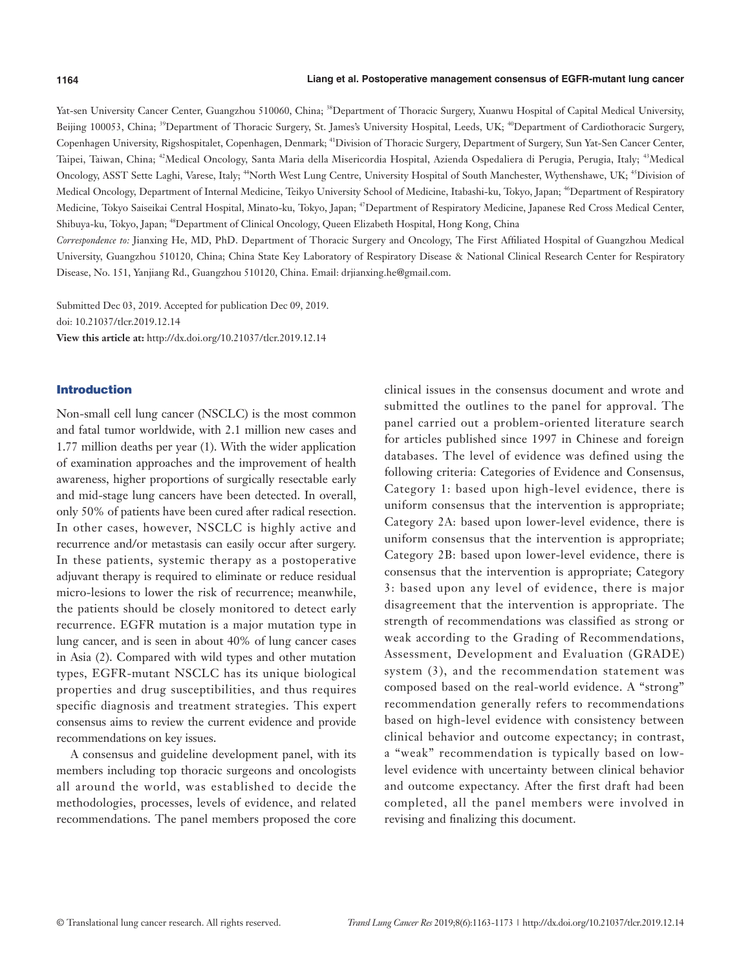Yat-sen University Cancer Center, Guangzhou 510060, China; <sup>38</sup>Department of Thoracic Surgery, Xuanwu Hospital of Capital Medical University, Beijing 100053, China; <sup>39</sup>Department of Thoracic Surgery, St. James's University Hospital, Leeds, UK; <sup>40</sup>Department of Cardiothoracic Surgery, Copenhagen University, Rigshospitalet, Copenhagen, Denmark; <sup>41</sup>Division of Thoracic Surgery, Department of Surgery, Sun Yat-Sen Cancer Center, Taipei, Taiwan, China; <sup>42</sup>Medical Oncology, Santa Maria della Misericordia Hospital, Azienda Ospedaliera di Perugia, Perugia, Italy; <sup>43</sup>Medical Oncology, ASST Sette Laghi, Varese, Italy; <sup>44</sup>North West Lung Centre, University Hospital of South Manchester, Wythenshawe, UK; <sup>45</sup>Division of Medical Oncology, Department of Internal Medicine, Teikyo University School of Medicine, Itabashi-ku, Tokyo, Japan; <sup>46</sup>Department of Respiratory Medicine, Tokyo Saiseikai Central Hospital, Minato-ku, Tokyo, Japan; <sup>47</sup>Department of Respiratory Medicine, Japanese Red Cross Medical Center, Shibuya-ku, Tokyo, Japan; <sup>48</sup>Department of Clinical Oncology, Queen Elizabeth Hospital, Hong Kong, China

*Correspondence to:* Jianxing He, MD, PhD. Department of Thoracic Surgery and Oncology, The First Affiliated Hospital of Guangzhou Medical University, Guangzhou 510120, China; China State Key Laboratory of Respiratory Disease & National Clinical Research Center for Respiratory Disease, No. 151, Yanjiang Rd., Guangzhou 510120, China. Email: drjianxing.he@gmail.com.

Submitted Dec 03, 2019. Accepted for publication Dec 09, 2019. doi: 10.21037/tlcr.2019.12.14 **View this article at:** http://dx.doi.org/10.21037/tlcr.2019.12.14

#### Introduction

Non-small cell lung cancer (NSCLC) is the most common and fatal tumor worldwide, with 2.1 million new cases and 1.77 million deaths per year (1). With the wider application of examination approaches and the improvement of health awareness, higher proportions of surgically resectable early and mid-stage lung cancers have been detected. In overall, only 50% of patients have been cured after radical resection. In other cases, however, NSCLC is highly active and recurrence and/or metastasis can easily occur after surgery. In these patients, systemic therapy as a postoperative adjuvant therapy is required to eliminate or reduce residual micro-lesions to lower the risk of recurrence; meanwhile, the patients should be closely monitored to detect early recurrence. EGFR mutation is a major mutation type in lung cancer, and is seen in about 40% of lung cancer cases in Asia (2). Compared with wild types and other mutation types, EGFR-mutant NSCLC has its unique biological properties and drug susceptibilities, and thus requires specific diagnosis and treatment strategies. This expert consensus aims to review the current evidence and provide recommendations on key issues.

A consensus and guideline development panel, with its members including top thoracic surgeons and oncologists all around the world, was established to decide the methodologies, processes, levels of evidence, and related recommendations. The panel members proposed the core clinical issues in the consensus document and wrote and submitted the outlines to the panel for approval. The panel carried out a problem-oriented literature search for articles published since 1997 in Chinese and foreign databases. The level of evidence was defined using the following criteria: Categories of Evidence and Consensus, Category 1: based upon high-level evidence, there is uniform consensus that the intervention is appropriate; Category 2A: based upon lower-level evidence, there is uniform consensus that the intervention is appropriate; Category 2B: based upon lower-level evidence, there is consensus that the intervention is appropriate; Category 3: based upon any level of evidence, there is major disagreement that the intervention is appropriate. The strength of recommendations was classified as strong or weak according to the Grading of Recommendations, Assessment, Development and Evaluation (GRADE) system (3), and the recommendation statement was composed based on the real-world evidence. A "strong" recommendation generally refers to recommendations based on high-level evidence with consistency between clinical behavior and outcome expectancy; in contrast, a "weak" recommendation is typically based on lowlevel evidence with uncertainty between clinical behavior and outcome expectancy. After the first draft had been completed, all the panel members were involved in revising and finalizing this document.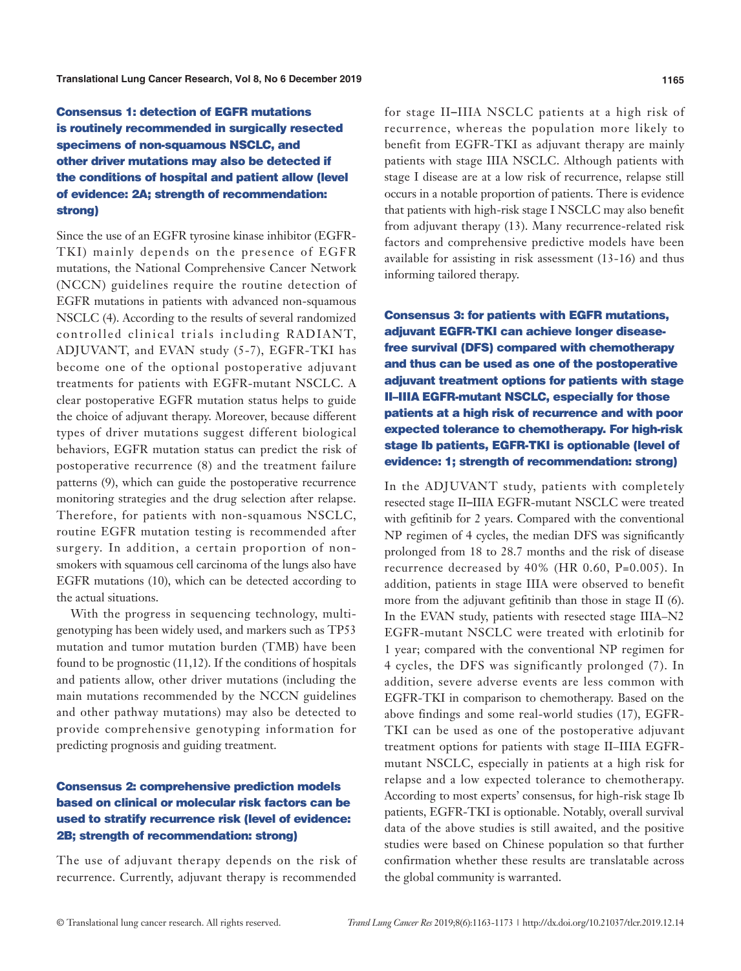# Consensus 1: detection of EGFR mutations is routinely recommended in surgically resected specimens of non-squamous NSCLC, and other driver mutations may also be detected if the conditions of hospital and patient allow (level of evidence: 2A; strength of recommendation: strong)

Since the use of an EGFR tyrosine kinase inhibitor (EGFR-TKI) mainly depends on the presence of EGFR mutations, the National Comprehensive Cancer Network (NCCN) guidelines require the routine detection of EGFR mutations in patients with advanced non-squamous NSCLC (4). According to the results of several randomized controlled clinical trials including RADIANT, ADJUVANT, and EVAN study (5-7), EGFR-TKI has become one of the optional postoperative adjuvant treatments for patients with EGFR-mutant NSCLC. A clear postoperative EGFR mutation status helps to guide the choice of adjuvant therapy. Moreover, because different types of driver mutations suggest different biological behaviors, EGFR mutation status can predict the risk of postoperative recurrence (8) and the treatment failure patterns (9), which can guide the postoperative recurrence monitoring strategies and the drug selection after relapse. Therefore, for patients with non-squamous NSCLC, routine EGFR mutation testing is recommended after surgery. In addition, a certain proportion of nonsmokers with squamous cell carcinoma of the lungs also have EGFR mutations (10), which can be detected according to the actual situations.

With the progress in sequencing technology, multigenotyping has been widely used, and markers such as TP53 mutation and tumor mutation burden (TMB) have been found to be prognostic  $(11,12)$ . If the conditions of hospitals and patients allow, other driver mutations (including the main mutations recommended by the NCCN guidelines and other pathway mutations) may also be detected to provide comprehensive genotyping information for predicting prognosis and guiding treatment.

# Consensus 2: comprehensive prediction models based on clinical or molecular risk factors can be used to stratify recurrence risk (level of evidence: 2B; strength of recommendation: strong)

The use of adjuvant therapy depends on the risk of recurrence. Currently, adjuvant therapy is recommended

for stage II–IIIA NSCLC patients at a high risk of recurrence, whereas the population more likely to benefit from EGFR-TKI as adjuvant therapy are mainly patients with stage IIIA NSCLC. Although patients with stage I disease are at a low risk of recurrence, relapse still occurs in a notable proportion of patients. There is evidence that patients with high-risk stage I NSCLC may also benefit from adjuvant therapy (13). Many recurrence-related risk factors and comprehensive predictive models have been available for assisting in risk assessment (13-16) and thus informing tailored therapy.

Consensus 3: for patients with EGFR mutations, adjuvant EGFR-TKI can achieve longer diseasefree survival (DFS) compared with chemotherapy and thus can be used as one of the postoperative adjuvant treatment options for patients with stage II–IIIA EGFR-mutant NSCLC, especially for those patients at a high risk of recurrence and with poor expected tolerance to chemotherapy. For high-risk stage Ib patients, EGFR-TKI is optionable (level of evidence: 1; strength of recommendation: strong)

In the ADJUVANT study, patients with completely resected stage II–IIIA EGFR-mutant NSCLC were treated with gefitinib for 2 years. Compared with the conventional NP regimen of 4 cycles, the median DFS was significantly prolonged from 18 to 28.7 months and the risk of disease recurrence decreased by 40% (HR 0.60, P=0.005). In addition, patients in stage IIIA were observed to benefit more from the adjuvant gefitinib than those in stage II (6). In the EVAN study, patients with resected stage IIIA–N2 EGFR-mutant NSCLC were treated with erlotinib for 1 year; compared with the conventional NP regimen for 4 cycles, the DFS was significantly prolonged (7). In addition, severe adverse events are less common with EGFR-TKI in comparison to chemotherapy. Based on the above findings and some real-world studies (17), EGFR-TKI can be used as one of the postoperative adjuvant treatment options for patients with stage II–IIIA EGFRmutant NSCLC, especially in patients at a high risk for relapse and a low expected tolerance to chemotherapy. According to most experts' consensus, for high-risk stage Ib patients, EGFR-TKI is optionable. Notably, overall survival data of the above studies is still awaited, and the positive studies were based on Chinese population so that further confirmation whether these results are translatable across the global community is warranted.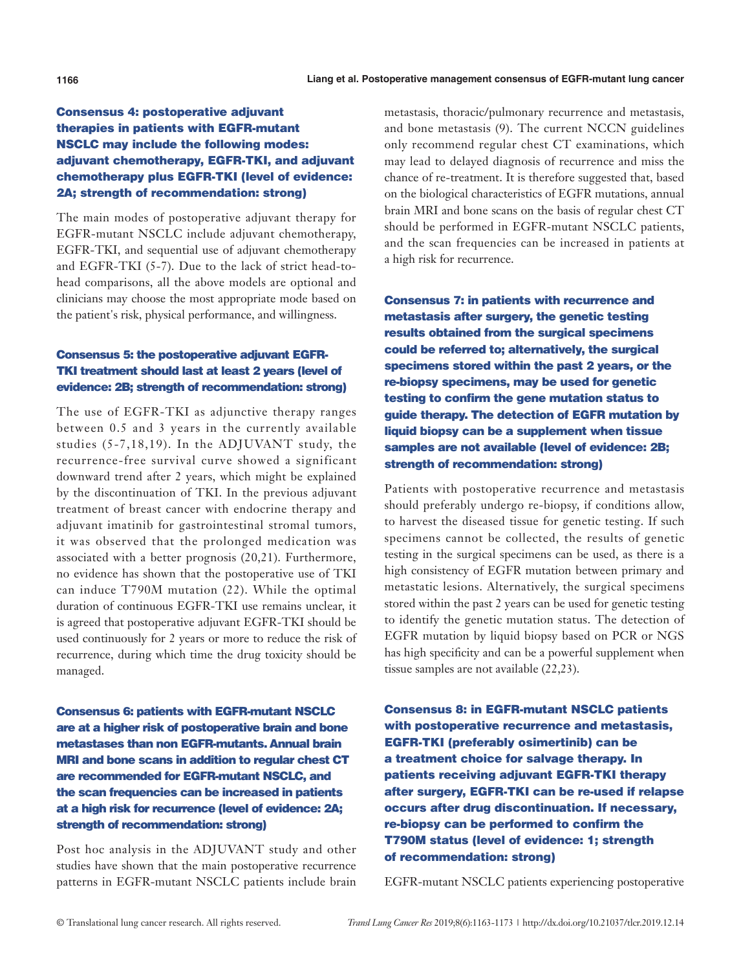# Consensus 4: postoperative adjuvant therapies in patients with EGFR-mutant NSCLC may include the following modes: adjuvant chemotherapy, EGFR-TKI, and adjuvant chemotherapy plus EGFR-TKI (level of evidence: 2A; strength of recommendation: strong)

The main modes of postoperative adjuvant therapy for EGFR-mutant NSCLC include adjuvant chemotherapy, EGFR-TKI, and sequential use of adjuvant chemotherapy and EGFR-TKI (5-7). Due to the lack of strict head-tohead comparisons, all the above models are optional and clinicians may choose the most appropriate mode based on the patient's risk, physical performance, and willingness.

# Consensus 5: the postoperative adjuvant EGFR-TKI treatment should last at least 2 years (level of evidence: 2B; strength of recommendation: strong)

The use of EGFR-TKI as adjunctive therapy ranges between 0.5 and 3 years in the currently available studies (5-7,18,19). In the ADJUVANT study, the recurrence-free survival curve showed a significant downward trend after 2 years, which might be explained by the discontinuation of TKI. In the previous adjuvant treatment of breast cancer with endocrine therapy and adjuvant imatinib for gastrointestinal stromal tumors, it was observed that the prolonged medication was associated with a better prognosis (20,21). Furthermore, no evidence has shown that the postoperative use of TKI can induce T790M mutation (22). While the optimal duration of continuous EGFR-TKI use remains unclear, it is agreed that postoperative adjuvant EGFR-TKI should be used continuously for 2 years or more to reduce the risk of recurrence, during which time the drug toxicity should be managed.

Consensus 6: patients with EGFR-mutant NSCLC are at a higher risk of postoperative brain and bone metastases than non EGFR-mutants. Annual brain MRI and bone scans in addition to regular chest CT are recommended for EGFR-mutant NSCLC, and the scan frequencies can be increased in patients at a high risk for recurrence (level of evidence: 2A; strength of recommendation: strong)

Post hoc analysis in the ADJUVANT study and other studies have shown that the main postoperative recurrence patterns in EGFR-mutant NSCLC patients include brain metastasis, thoracic/pulmonary recurrence and metastasis, and bone metastasis (9). The current NCCN guidelines only recommend regular chest CT examinations, which may lead to delayed diagnosis of recurrence and miss the chance of re-treatment. It is therefore suggested that, based on the biological characteristics of EGFR mutations, annual brain MRI and bone scans on the basis of regular chest CT should be performed in EGFR-mutant NSCLC patients, and the scan frequencies can be increased in patients at a high risk for recurrence.

Consensus 7: in patients with recurrence and metastasis after surgery, the genetic testing results obtained from the surgical specimens could be referred to; alternatively, the surgical specimens stored within the past 2 years, or the re-biopsy specimens, may be used for genetic testing to confirm the gene mutation status to guide therapy. The detection of EGFR mutation by liquid biopsy can be a supplement when tissue samples are not available (level of evidence: 2B; strength of recommendation: strong)

Patients with postoperative recurrence and metastasis should preferably undergo re-biopsy, if conditions allow, to harvest the diseased tissue for genetic testing. If such specimens cannot be collected, the results of genetic testing in the surgical specimens can be used, as there is a high consistency of EGFR mutation between primary and metastatic lesions. Alternatively, the surgical specimens stored within the past 2 years can be used for genetic testing to identify the genetic mutation status. The detection of EGFR mutation by liquid biopsy based on PCR or NGS has high specificity and can be a powerful supplement when tissue samples are not available (22,23).

Consensus 8: in EGFR-mutant NSCLC patients with postoperative recurrence and metastasis, EGFR-TKI (preferably osimertinib) can be a treatment choice for salvage therapy. In patients receiving adjuvant EGFR-TKI therapy after surgery, EGFR-TKI can be re-used if relapse occurs after drug discontinuation. If necessary, re-biopsy can be performed to confirm the T790M status (level of evidence: 1; strength of recommendation: strong)

EGFR-mutant NSCLC patients experiencing postoperative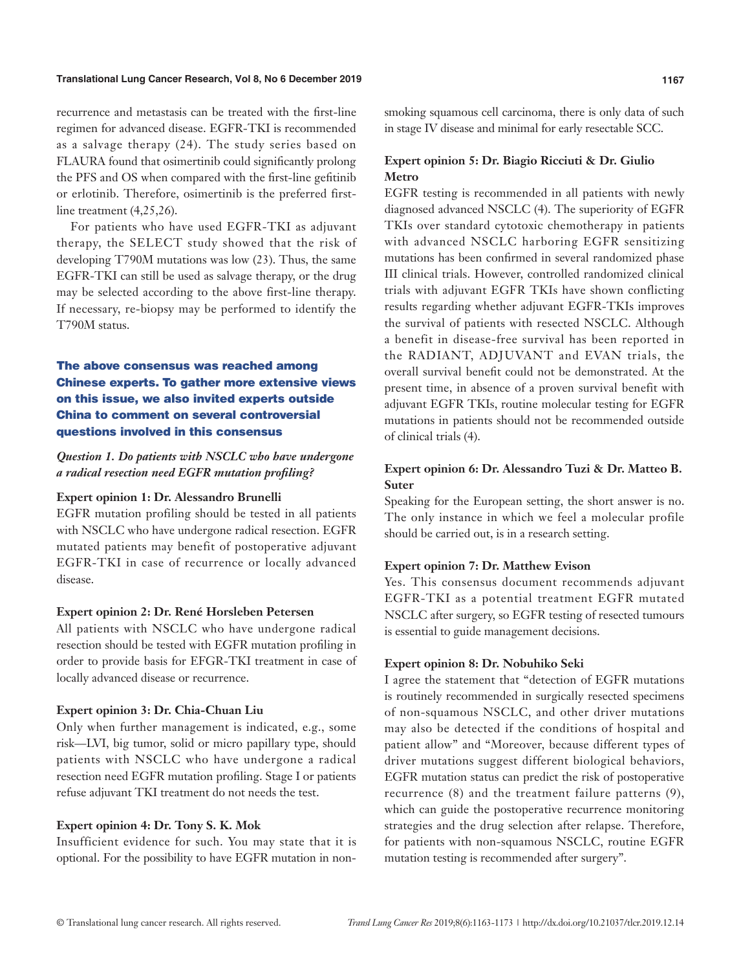recurrence and metastasis can be treated with the first-line regimen for advanced disease. EGFR-TKI is recommended as a salvage therapy (24). The study series based on FLAURA found that osimertinib could significantly prolong the PFS and OS when compared with the first-line gefitinib or erlotinib. Therefore, osimertinib is the preferred firstline treatment  $(4,25,26)$ .

For patients who have used EGFR-TKI as adjuvant therapy, the SELECT study showed that the risk of developing T790M mutations was low (23). Thus, the same EGFR-TKI can still be used as salvage therapy, or the drug may be selected according to the above first-line therapy. If necessary, re-biopsy may be performed to identify the T790M status.

# The above consensus was reached among Chinese experts. To gather more extensive views on this issue, we also invited experts outside China to comment on several controversial questions involved in this consensus

*Question 1. Do patients with NSCLC who have undergone a radical resection need EGFR mutation profiling?*

#### **Expert opinion 1: Dr. Alessandro Brunelli**

EGFR mutation profiling should be tested in all patients with NSCLC who have undergone radical resection. EGFR mutated patients may benefit of postoperative adjuvant EGFR-TKI in case of recurrence or locally advanced disease.

#### **Expert opinion 2: Dr. René Horsleben Petersen**

All patients with NSCLC who have undergone radical resection should be tested with EGFR mutation profiling in order to provide basis for EFGR-TKI treatment in case of locally advanced disease or recurrence.

#### **Expert opinion 3: Dr. Chia-Chuan Liu**

Only when further management is indicated, e.g., some risk—LVI, big tumor, solid or micro papillary type, should patients with NSCLC who have undergone a radical resection need EGFR mutation profiling. Stage I or patients refuse adjuvant TKI treatment do not needs the test.

#### **Expert opinion 4: Dr. Tony S. K. Mok**

Insufficient evidence for such. You may state that it is optional. For the possibility to have EGFR mutation in nonsmoking squamous cell carcinoma, there is only data of such in stage IV disease and minimal for early resectable SCC.

# **Expert opinion 5: Dr. Biagio Ricciuti & Dr. Giulio Metro**

EGFR testing is recommended in all patients with newly diagnosed advanced NSCLC (4). The superiority of EGFR TKIs over standard cytotoxic chemotherapy in patients with advanced NSCLC harboring EGFR sensitizing mutations has been confirmed in several randomized phase III clinical trials. However, controlled randomized clinical trials with adjuvant EGFR TKIs have shown conflicting results regarding whether adjuvant EGFR-TKIs improves the survival of patients with resected NSCLC. Although a benefit in disease-free survival has been reported in the RADIANT, ADJUVANT and EVAN trials, the overall survival benefit could not be demonstrated. At the present time, in absence of a proven survival benefit with adjuvant EGFR TKIs, routine molecular testing for EGFR mutations in patients should not be recommended outside of clinical trials (4).

# **Expert opinion 6: Dr. Alessandro Tuzi & Dr. Matteo B. Suter**

Speaking for the European setting, the short answer is no. The only instance in which we feel a molecular profile should be carried out, is in a research setting.

#### **Expert opinion 7: Dr. Matthew Evison**

Yes. This consensus document recommends adjuvant EGFR-TKI as a potential treatment EGFR mutated NSCLC after surgery, so EGFR testing of resected tumours is essential to guide management decisions.

#### **Expert opinion 8: Dr. Nobuhiko Seki**

I agree the statement that "detection of EGFR mutations is routinely recommended in surgically resected specimens of non-squamous NSCLC, and other driver mutations may also be detected if the conditions of hospital and patient allow" and "Moreover, because different types of driver mutations suggest different biological behaviors, EGFR mutation status can predict the risk of postoperative recurrence (8) and the treatment failure patterns (9), which can guide the postoperative recurrence monitoring strategies and the drug selection after relapse. Therefore, for patients with non-squamous NSCLC, routine EGFR mutation testing is recommended after surgery".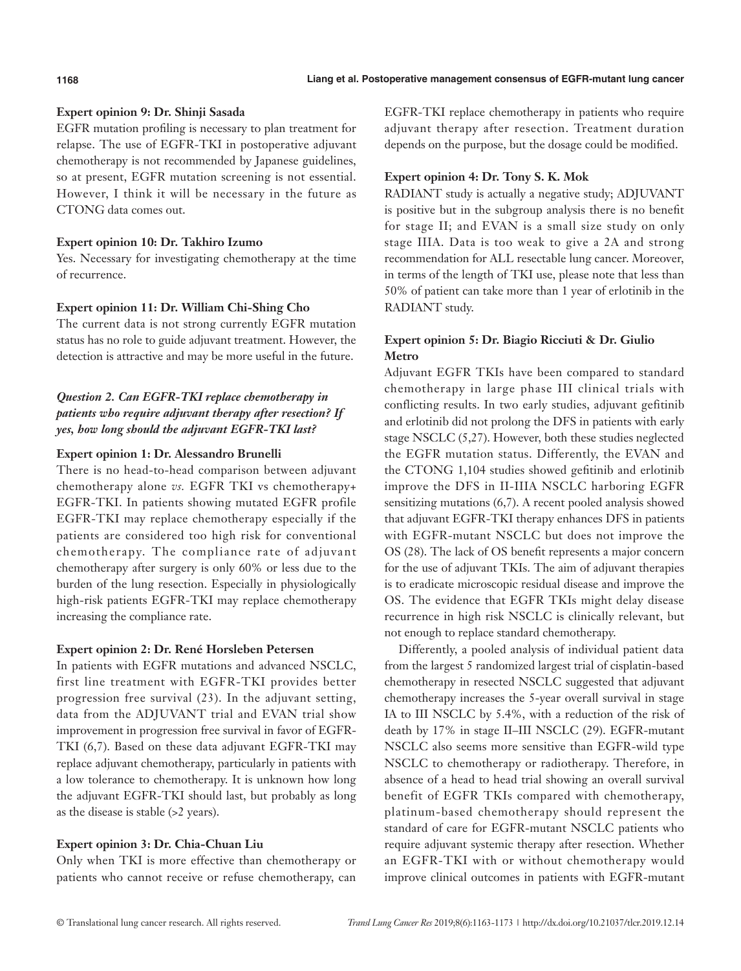# **Expert opinion 9: Dr. Shinji Sasada**

EGFR mutation profiling is necessary to plan treatment for relapse. The use of EGFR-TKI in postoperative adjuvant chemotherapy is not recommended by Japanese guidelines, so at present, EGFR mutation screening is not essential. However, I think it will be necessary in the future as CTONG data comes out.

# **Expert opinion 10: Dr. Takhiro Izumo**

Yes. Necessary for investigating chemotherapy at the time of recurrence.

# **Expert opinion 11: Dr. William Chi-Shing Cho**

The current data is not strong currently EGFR mutation status has no role to guide adjuvant treatment. However, the detection is attractive and may be more useful in the future.

# *Question 2. Can EGFR-TKI replace chemotherapy in patients who require adjuvant therapy after resection? If yes, how long should the adjuvant EGFR-TKI last?*

# **Expert opinion 1: Dr. Alessandro Brunelli**

There is no head-to-head comparison between adjuvant chemotherapy alone *vs.* EGFR TKI vs chemotherapy+ EGFR-TKI. In patients showing mutated EGFR profile EGFR-TKI may replace chemotherapy especially if the patients are considered too high risk for conventional chemotherapy. The compliance rate of adjuvant chemotherapy after surgery is only 60% or less due to the burden of the lung resection. Especially in physiologically high-risk patients EGFR-TKI may replace chemotherapy increasing the compliance rate.

# **Expert opinion 2: Dr. René Horsleben Petersen**

In patients with EGFR mutations and advanced NSCLC, first line treatment with EGFR-TKI provides better progression free survival (23). In the adjuvant setting, data from the ADJUVANT trial and EVAN trial show improvement in progression free survival in favor of EGFR-TKI (6,7). Based on these data adjuvant EGFR-TKI may replace adjuvant chemotherapy, particularly in patients with a low tolerance to chemotherapy. It is unknown how long the adjuvant EGFR-TKI should last, but probably as long as the disease is stable (>2 years).

# **Expert opinion 3: Dr. Chia-Chuan Liu**

Only when TKI is more effective than chemotherapy or patients who cannot receive or refuse chemotherapy, can EGFR-TKI replace chemotherapy in patients who require adjuvant therapy after resection. Treatment duration depends on the purpose, but the dosage could be modified.

# **Expert opinion 4: Dr. Tony S. K. Mok**

RADIANT study is actually a negative study; ADJUVANT is positive but in the subgroup analysis there is no benefit for stage II; and EVAN is a small size study on only stage IIIA. Data is too weak to give a 2A and strong recommendation for ALL resectable lung cancer. Moreover, in terms of the length of TKI use, please note that less than 50% of patient can take more than 1 year of erlotinib in the RADIANT study.

# **Expert opinion 5: Dr. Biagio Ricciuti & Dr. Giulio Metro**

Adjuvant EGFR TKIs have been compared to standard chemotherapy in large phase III clinical trials with conflicting results. In two early studies, adjuvant gefitinib and erlotinib did not prolong the DFS in patients with early stage NSCLC (5,27). However, both these studies neglected the EGFR mutation status. Differently, the EVAN and the CTONG 1,104 studies showed gefitinib and erlotinib improve the DFS in II-IIIA NSCLC harboring EGFR sensitizing mutations (6,7). A recent pooled analysis showed that adjuvant EGFR-TKI therapy enhances DFS in patients with EGFR-mutant NSCLC but does not improve the OS (28). The lack of OS benefit represents a major concern for the use of adjuvant TKIs. The aim of adjuvant therapies is to eradicate microscopic residual disease and improve the OS. The evidence that EGFR TKIs might delay disease recurrence in high risk NSCLC is clinically relevant, but not enough to replace standard chemotherapy.

Differently, a pooled analysis of individual patient data from the largest 5 randomized largest trial of cisplatin-based chemotherapy in resected NSCLC suggested that adjuvant chemotherapy increases the 5-year overall survival in stage IA to III NSCLC by 5.4%, with a reduction of the risk of death by 17% in stage II–III NSCLC (29). EGFR-mutant NSCLC also seems more sensitive than EGFR-wild type NSCLC to chemotherapy or radiotherapy. Therefore, in absence of a head to head trial showing an overall survival benefit of EGFR TKIs compared with chemotherapy, platinum-based chemotherapy should represent the standard of care for EGFR-mutant NSCLC patients who require adjuvant systemic therapy after resection. Whether an EGFR-TKI with or without chemotherapy would improve clinical outcomes in patients with EGFR-mutant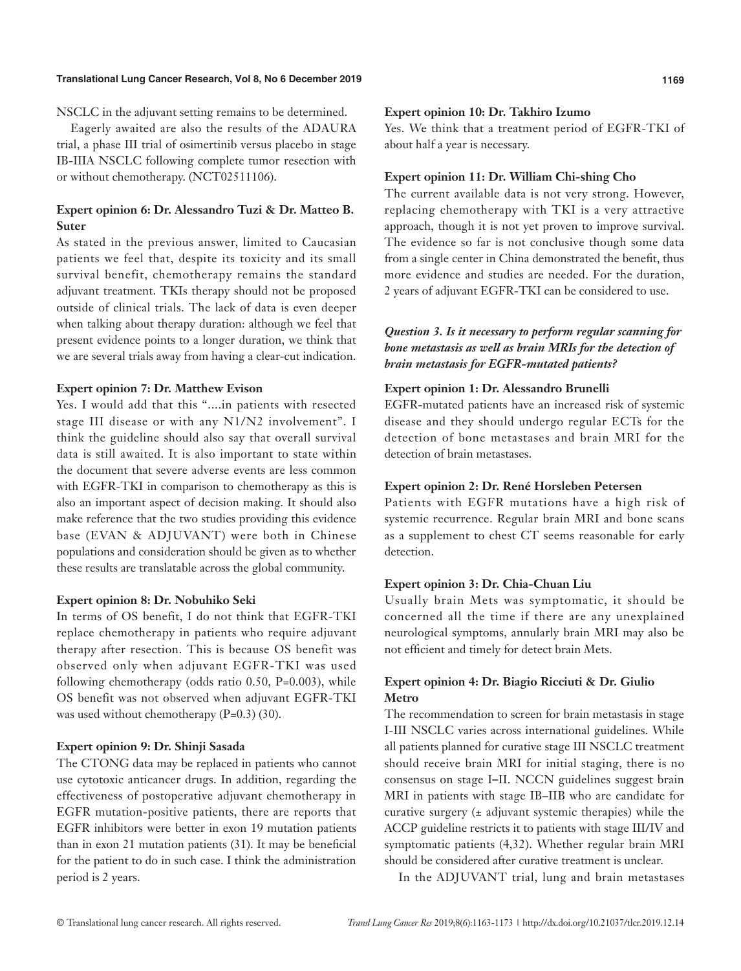NSCLC in the adjuvant setting remains to be determined.

Eagerly awaited are also the results of the ADAURA trial, a phase III trial of osimertinib versus placebo in stage IB-IIIA NSCLC following complete tumor resection with or without chemotherapy. (NCT02511106).

# **Expert opinion 6: Dr. Alessandro Tuzi & Dr. Matteo B. Suter**

As stated in the previous answer, limited to Caucasian patients we feel that, despite its toxicity and its small survival benefit, chemotherapy remains the standard adjuvant treatment. TKIs therapy should not be proposed outside of clinical trials. The lack of data is even deeper when talking about therapy duration: although we feel that present evidence points to a longer duration, we think that we are several trials away from having a clear-cut indication.

# **Expert opinion 7: Dr. Matthew Evison**

Yes. I would add that this "....in patients with resected stage III disease or with any N1/N2 involvement". I think the guideline should also say that overall survival data is still awaited. It is also important to state within the document that severe adverse events are less common with EGFR-TKI in comparison to chemotherapy as this is also an important aspect of decision making. It should also make reference that the two studies providing this evidence base (EVAN & ADJUVANT) were both in Chinese populations and consideration should be given as to whether these results are translatable across the global community.

#### **Expert opinion 8: Dr. Nobuhiko Seki**

In terms of OS benefit, I do not think that EGFR-TKI replace chemotherapy in patients who require adjuvant therapy after resection. This is because OS benefit was observed only when adjuvant EGFR-TKI was used following chemotherapy (odds ratio 0.50, P=0.003), while OS benefit was not observed when adjuvant EGFR-TKI was used without chemotherapy  $(P=0.3)$  (30).

#### **Expert opinion 9: Dr. Shinji Sasada**

The CTONG data may be replaced in patients who cannot use cytotoxic anticancer drugs. In addition, regarding the effectiveness of postoperative adjuvant chemotherapy in EGFR mutation-positive patients, there are reports that EGFR inhibitors were better in exon 19 mutation patients than in exon 21 mutation patients (31). It may be beneficial for the patient to do in such case. I think the administration period is 2 years.

#### **Expert opinion 10: Dr. Takhiro Izumo**

Yes. We think that a treatment period of EGFR-TKI of about half a year is necessary.

#### **Expert opinion 11: Dr. William Chi-shing Cho**

The current available data is not very strong. However, replacing chemotherapy with TKI is a very attractive approach, though it is not yet proven to improve survival. The evidence so far is not conclusive though some data from a single center in China demonstrated the benefit, thus more evidence and studies are needed. For the duration, 2 years of adjuvant EGFR-TKI can be considered to use.

# *Question 3. Is it necessary to perform regular scanning for bone metastasis as well as brain MRIs for the detection of brain metastasis for EGFR-mutated patients?*

# **Expert opinion 1: Dr. Alessandro Brunelli**

EGFR-mutated patients have an increased risk of systemic disease and they should undergo regular ECTs for the detection of bone metastases and brain MRI for the detection of brain metastases.

# **Expert opinion 2: Dr. René Horsleben Petersen**

Patients with EGFR mutations have a high risk of systemic recurrence. Regular brain MRI and bone scans as a supplement to chest CT seems reasonable for early detection.

#### **Expert opinion 3: Dr. Chia-Chuan Liu**

Usually brain Mets was symptomatic, it should be concerned all the time if there are any unexplained neurological symptoms, annularly brain MRI may also be not efficient and timely for detect brain Mets.

# **Expert opinion 4: Dr. Biagio Ricciuti & Dr. Giulio Metro**

The recommendation to screen for brain metastasis in stage I-III NSCLC varies across international guidelines. While all patients planned for curative stage III NSCLC treatment should receive brain MRI for initial staging, there is no consensus on stage I–II. NCCN guidelines suggest brain MRI in patients with stage IB–IIB who are candidate for curative surgery  $(±$  adjuvant systemic therapies) while the ACCP guideline restricts it to patients with stage III/IV and symptomatic patients (4,32). Whether regular brain MRI should be considered after curative treatment is unclear.

In the ADJUVANT trial, lung and brain metastases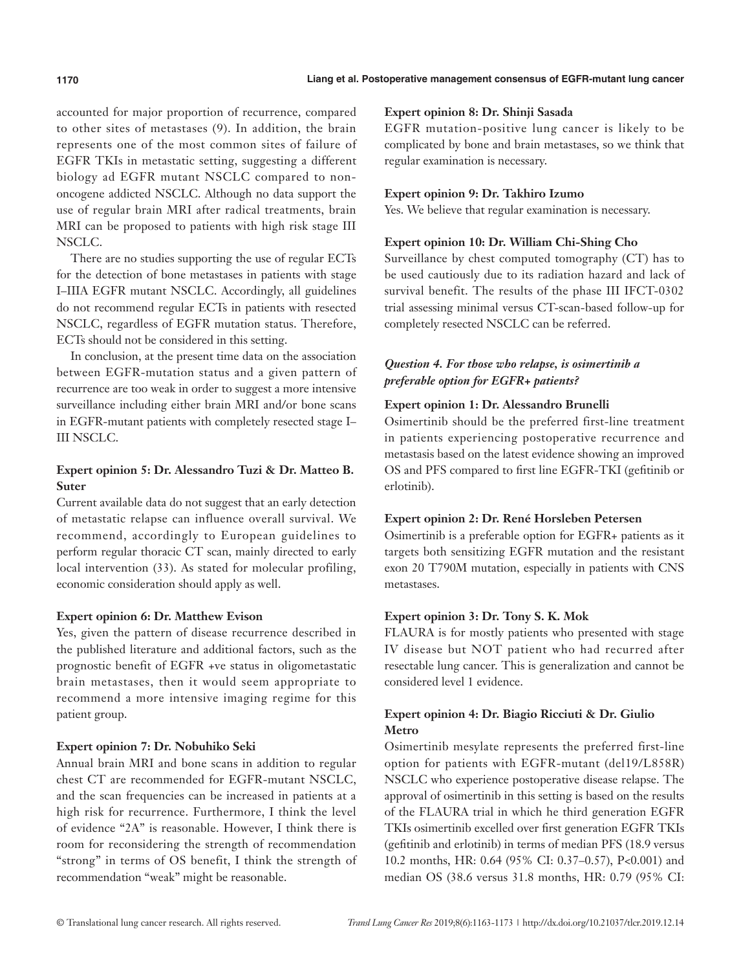accounted for major proportion of recurrence, compared to other sites of metastases (9). In addition, the brain represents one of the most common sites of failure of EGFR TKIs in metastatic setting, suggesting a different biology ad EGFR mutant NSCLC compared to nononcogene addicted NSCLC. Although no data support the use of regular brain MRI after radical treatments, brain MRI can be proposed to patients with high risk stage III NSCLC.

There are no studies supporting the use of regular ECTs for the detection of bone metastases in patients with stage I–IIIA EGFR mutant NSCLC. Accordingly, all guidelines do not recommend regular ECTs in patients with resected NSCLC, regardless of EGFR mutation status. Therefore, ECTs should not be considered in this setting.

In conclusion, at the present time data on the association between EGFR-mutation status and a given pattern of recurrence are too weak in order to suggest a more intensive surveillance including either brain MRI and/or bone scans in EGFR-mutant patients with completely resected stage I– III NSCLC.

# **Expert opinion 5: Dr. Alessandro Tuzi & Dr. Matteo B. Suter**

Current available data do not suggest that an early detection of metastatic relapse can influence overall survival. We recommend, accordingly to European guidelines to perform regular thoracic CT scan, mainly directed to early local intervention (33). As stated for molecular profiling, economic consideration should apply as well.

# **Expert opinion 6: Dr. Matthew Evison**

Yes, given the pattern of disease recurrence described in the published literature and additional factors, such as the prognostic benefit of EGFR +ve status in oligometastatic brain metastases, then it would seem appropriate to recommend a more intensive imaging regime for this patient group.

# **Expert opinion 7: Dr. Nobuhiko Seki**

Annual brain MRI and bone scans in addition to regular chest CT are recommended for EGFR-mutant NSCLC, and the scan frequencies can be increased in patients at a high risk for recurrence. Furthermore, I think the level of evidence "2A" is reasonable. However, I think there is room for reconsidering the strength of recommendation "strong" in terms of OS benefit, I think the strength of recommendation "weak" might be reasonable.

#### **Expert opinion 8: Dr. Shinji Sasada**

EGFR mutation-positive lung cancer is likely to be complicated by bone and brain metastases, so we think that regular examination is necessary.

#### **Expert opinion 9: Dr. Takhiro Izumo**

Yes. We believe that regular examination is necessary.

#### **Expert opinion 10: Dr. William Chi-Shing Cho**

Surveillance by chest computed tomography (CT) has to be used cautiously due to its radiation hazard and lack of survival benefit. The results of the phase III IFCT-0302 trial assessing minimal versus CT-scan-based follow-up for completely resected NSCLC can be referred.

# *Question 4. For those who relapse, is osimertinib a preferable option for EGFR+ patients?*

#### **Expert opinion 1: Dr. Alessandro Brunelli**

Osimertinib should be the preferred first-line treatment in patients experiencing postoperative recurrence and metastasis based on the latest evidence showing an improved OS and PFS compared to first line EGFR-TKI (gefitinib or erlotinib).

# **Expert opinion 2: Dr. René Horsleben Petersen**

Osimertinib is a preferable option for EGFR+ patients as it targets both sensitizing EGFR mutation and the resistant exon 20 T790M mutation, especially in patients with CNS metastases.

# **Expert opinion 3: Dr. Tony S. K. Mok**

FLAURA is for mostly patients who presented with stage IV disease but NOT patient who had recurred after resectable lung cancer. This is generalization and cannot be considered level 1 evidence.

# **Expert opinion 4: Dr. Biagio Ricciuti & Dr. Giulio Metro**

Osimertinib mesylate represents the preferred first-line option for patients with EGFR-mutant (del19/L858R) NSCLC who experience postoperative disease relapse. The approval of osimertinib in this setting is based on the results of the FLAURA trial in which he third generation EGFR TKIs osimertinib excelled over first generation EGFR TKIs (gefitinib and erlotinib) in terms of median PFS (18.9 versus 10.2 months, HR: 0.64 (95% CI: 0.37–0.57), P<0.001) and median OS (38.6 versus 31.8 months, HR: 0.79 (95% CI: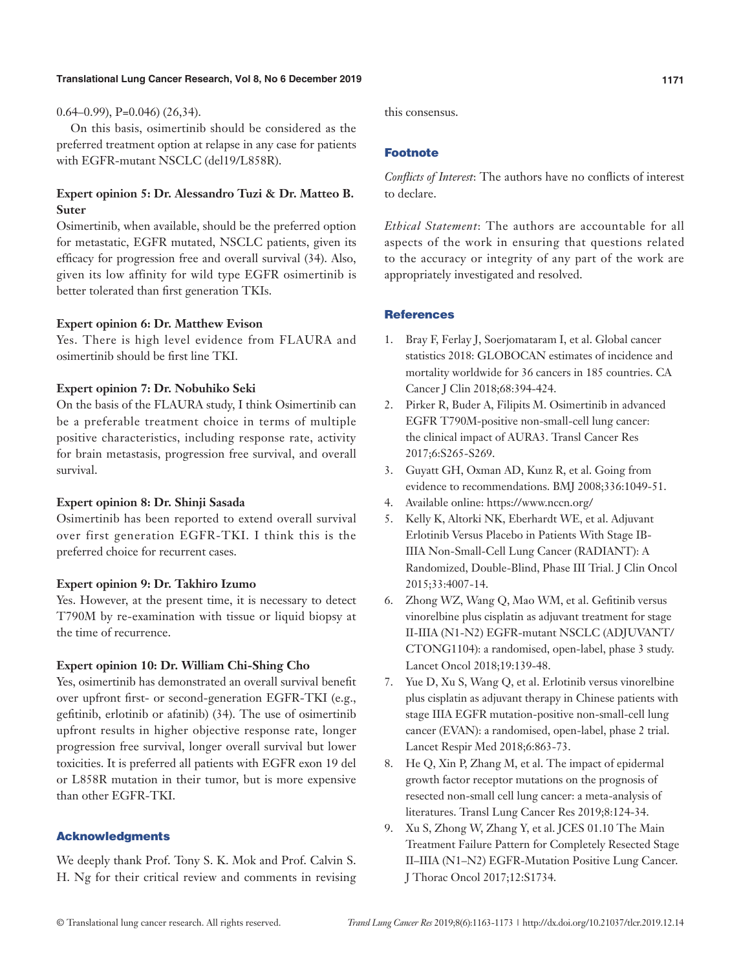#### $(0.64-0.99)$ , P=0.046)  $(26.34)$ .

On this basis, osimertinib should be considered as the preferred treatment option at relapse in any case for patients with EGFR-mutant NSCLC (del19/L858R).

# **Expert opinion 5: Dr. Alessandro Tuzi & Dr. Matteo B. Suter**

Osimertinib, when available, should be the preferred option for metastatic, EGFR mutated, NSCLC patients, given its efficacy for progression free and overall survival (34). Also, given its low affinity for wild type EGFR osimertinib is better tolerated than first generation TKIs.

#### **Expert opinion 6: Dr. Matthew Evison**

Yes. There is high level evidence from FLAURA and osimertinib should be first line TKI.

# **Expert opinion 7: Dr. Nobuhiko Seki**

On the basis of the FLAURA study, I think Osimertinib can be a preferable treatment choice in terms of multiple positive characteristics, including response rate, activity for brain metastasis, progression free survival, and overall survival.

#### **Expert opinion 8: Dr. Shinji Sasada**

Osimertinib has been reported to extend overall survival over first generation EGFR-TKI. I think this is the preferred choice for recurrent cases.

#### **Expert opinion 9: Dr. Takhiro Izumo**

Yes. However, at the present time, it is necessary to detect T790M by re-examination with tissue or liquid biopsy at the time of recurrence.

#### **Expert opinion 10: Dr. William Chi-Shing Cho**

Yes, osimertinib has demonstrated an overall survival benefit over upfront first- or second-generation EGFR-TKI (e.g., gefitinib, erlotinib or afatinib) (34). The use of osimertinib upfront results in higher objective response rate, longer progression free survival, longer overall survival but lower toxicities. It is preferred all patients with EGFR exon 19 del or L858R mutation in their tumor, but is more expensive than other EGFR-TKI.

#### Acknowledgments

We deeply thank Prof. Tony S. K. Mok and Prof. Calvin S. H. Ng for their critical review and comments in revising this consensus.

#### Footnote

*Conflicts of Interest*: The authors have no conflicts of interest to declare.

*Ethical Statement*: The authors are accountable for all aspects of the work in ensuring that questions related to the accuracy or integrity of any part of the work are appropriately investigated and resolved.

# **References**

- 1. Bray F, Ferlay J, Soerjomataram I, et al. Global cancer statistics 2018: GLOBOCAN estimates of incidence and mortality worldwide for 36 cancers in 185 countries. CA Cancer J Clin 2018;68:394-424.
- 2. Pirker R, Buder A, Filipits M. Osimertinib in advanced EGFR T790M-positive non-small-cell lung cancer: the clinical impact of AURA3. Transl Cancer Res 2017;6:S265-S269.
- 3. Guyatt GH, Oxman AD, Kunz R, et al. Going from evidence to recommendations. BMJ 2008;336:1049-51.
- 4. Available online: https://www.nccn.org/
- 5. Kelly K, Altorki NK, Eberhardt WE, et al. Adjuvant Erlotinib Versus Placebo in Patients With Stage IB-IIIA Non-Small-Cell Lung Cancer (RADIANT): A Randomized, Double-Blind, Phase III Trial. J Clin Oncol 2015;33:4007-14.
- 6. Zhong WZ, Wang Q, Mao WM, et al. Gefitinib versus vinorelbine plus cisplatin as adjuvant treatment for stage II-IIIA (N1-N2) EGFR-mutant NSCLC (ADJUVANT/ CTONG1104): a randomised, open-label, phase 3 study. Lancet Oncol 2018;19:139-48.
- 7. Yue D, Xu S, Wang Q, et al. Erlotinib versus vinorelbine plus cisplatin as adjuvant therapy in Chinese patients with stage IIIA EGFR mutation-positive non-small-cell lung cancer (EVAN): a randomised, open-label, phase 2 trial. Lancet Respir Med 2018;6:863-73.
- 8. He Q, Xin P, Zhang M, et al. The impact of epidermal growth factor receptor mutations on the prognosis of resected non-small cell lung cancer: a meta-analysis of literatures. Transl Lung Cancer Res 2019;8:124-34.
- 9. Xu S, Zhong W, Zhang Y, et al. JCES 01.10 The Main Treatment Failure Pattern for Completely Resected Stage II–IIIA (N1–N2) EGFR-Mutation Positive Lung Cancer. J Thorac Oncol 2017;12:S1734.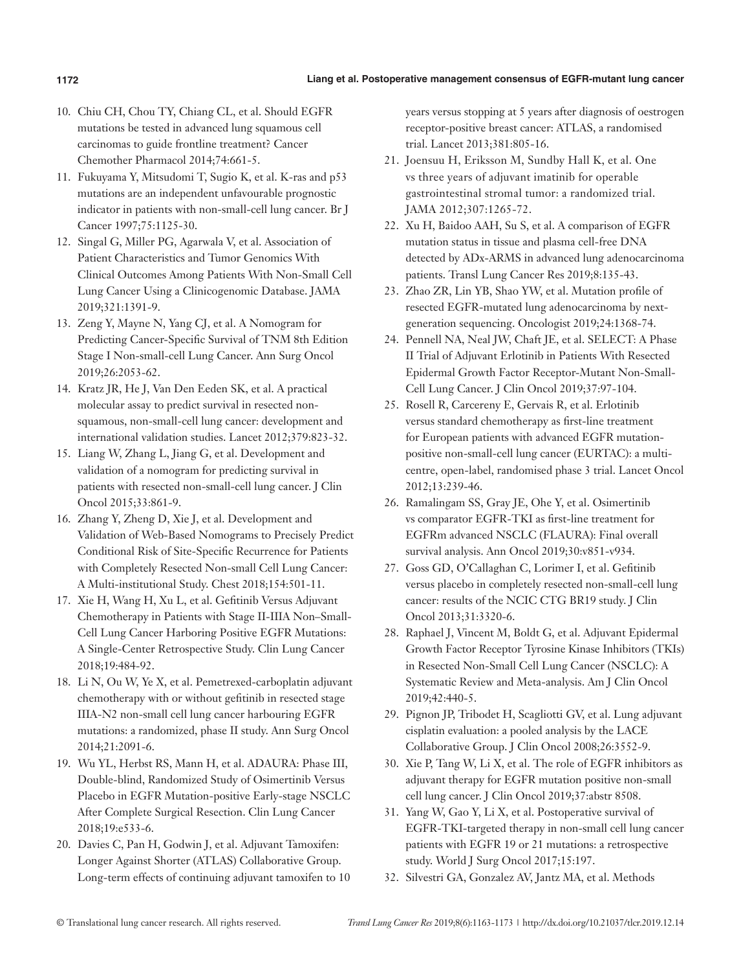- 10. Chiu CH, Chou TY, Chiang CL, et al. Should EGFR mutations be tested in advanced lung squamous cell carcinomas to guide frontline treatment? Cancer Chemother Pharmacol 2014;74:661-5.
- 11. Fukuyama Y, Mitsudomi T, Sugio K, et al. K-ras and p53 mutations are an independent unfavourable prognostic indicator in patients with non-small-cell lung cancer. Br J Cancer 1997;75:1125-30.
- 12. Singal G, Miller PG, Agarwala V, et al. Association of Patient Characteristics and Tumor Genomics With Clinical Outcomes Among Patients With Non-Small Cell Lung Cancer Using a Clinicogenomic Database. JAMA 2019;321:1391-9.
- 13. Zeng Y, Mayne N, Yang CJ, et al. A Nomogram for Predicting Cancer-Specific Survival of TNM 8th Edition Stage I Non-small-cell Lung Cancer. Ann Surg Oncol 2019;26:2053-62.
- 14. Kratz JR, He J, Van Den Eeden SK, et al. A practical molecular assay to predict survival in resected nonsquamous, non-small-cell lung cancer: development and international validation studies. Lancet 2012;379:823-32.
- 15. Liang W, Zhang L, Jiang G, et al. Development and validation of a nomogram for predicting survival in patients with resected non-small-cell lung cancer. J Clin Oncol 2015;33:861-9.
- 16. Zhang Y, Zheng D, Xie J, et al. Development and Validation of Web-Based Nomograms to Precisely Predict Conditional Risk of Site-Specific Recurrence for Patients with Completely Resected Non-small Cell Lung Cancer: A Multi-institutional Study. Chest 2018;154:501-11.
- 17. Xie H, Wang H, Xu L, et al. Gefitinib Versus Adjuvant Chemotherapy in Patients with Stage II-IIIA Non–Small-Cell Lung Cancer Harboring Positive EGFR Mutations: A Single-Center Retrospective Study. Clin Lung Cancer 2018;19:484-92.
- 18. Li N, Ou W, Ye X, et al. Pemetrexed-carboplatin adjuvant chemotherapy with or without gefitinib in resected stage IIIA-N2 non-small cell lung cancer harbouring EGFR mutations: a randomized, phase II study. Ann Surg Oncol 2014;21:2091-6.
- 19. Wu YL, Herbst RS, Mann H, et al. ADAURA: Phase III, Double-blind, Randomized Study of Osimertinib Versus Placebo in EGFR Mutation-positive Early-stage NSCLC After Complete Surgical Resection. Clin Lung Cancer 2018;19:e533-6.
- 20. Davies C, Pan H, Godwin J, et al. Adjuvant Tamoxifen: Longer Against Shorter (ATLAS) Collaborative Group. Long-term effects of continuing adjuvant tamoxifen to 10

years versus stopping at 5 years after diagnosis of oestrogen receptor-positive breast cancer: ATLAS, a randomised trial. Lancet 2013;381:805-16.

- 21. Joensuu H, Eriksson M, Sundby Hall K, et al. One vs three years of adjuvant imatinib for operable gastrointestinal stromal tumor: a randomized trial. JAMA 2012;307:1265-72.
- 22. Xu H, Baidoo AAH, Su S, et al. A comparison of EGFR mutation status in tissue and plasma cell-free DNA detected by ADx-ARMS in advanced lung adenocarcinoma patients. Transl Lung Cancer Res 2019;8:135-43.
- 23. Zhao ZR, Lin YB, Shao YW, et al. Mutation profile of resected EGFR-mutated lung adenocarcinoma by nextgeneration sequencing. Oncologist 2019;24:1368-74.
- 24. Pennell NA, Neal JW, Chaft JE, et al. SELECT: A Phase II Trial of Adjuvant Erlotinib in Patients With Resected Epidermal Growth Factor Receptor-Mutant Non-Small-Cell Lung Cancer. J Clin Oncol 2019;37:97-104.
- 25. Rosell R, Carcereny E, Gervais R, et al. Erlotinib versus standard chemotherapy as first-line treatment for European patients with advanced EGFR mutationpositive non-small-cell lung cancer (EURTAC): a multicentre, open-label, randomised phase 3 trial. Lancet Oncol 2012;13:239-46.
- 26. Ramalingam SS, Gray JE, Ohe Y, et al. Osimertinib vs comparator EGFR-TKI as first-line treatment for EGFRm advanced NSCLC (FLAURA): Final overall survival analysis. Ann Oncol 2019;30:v851-v934.
- 27. Goss GD, O'Callaghan C, Lorimer I, et al. Gefitinib versus placebo in completely resected non-small-cell lung cancer: results of the NCIC CTG BR19 study. J Clin Oncol 2013;31:3320-6.
- 28. Raphael J, Vincent M, Boldt G, et al. Adjuvant Epidermal Growth Factor Receptor Tyrosine Kinase Inhibitors (TKIs) in Resected Non-Small Cell Lung Cancer (NSCLC): A Systematic Review and Meta-analysis. Am J Clin Oncol 2019;42:440-5.
- 29. Pignon JP, Tribodet H, Scagliotti GV, et al. Lung adjuvant cisplatin evaluation: a pooled analysis by the LACE Collaborative Group. J Clin Oncol 2008;26:3552-9.
- 30. Xie P, Tang W, Li X, et al. The role of EGFR inhibitors as adjuvant therapy for EGFR mutation positive non-small cell lung cancer. J Clin Oncol 2019;37:abstr 8508.
- 31. Yang W, Gao Y, Li X, et al. Postoperative survival of EGFR-TKI-targeted therapy in non-small cell lung cancer patients with EGFR 19 or 21 mutations: a retrospective study. World J Surg Oncol 2017;15:197.
- 32. Silvestri GA, Gonzalez AV, Jantz MA, et al. Methods